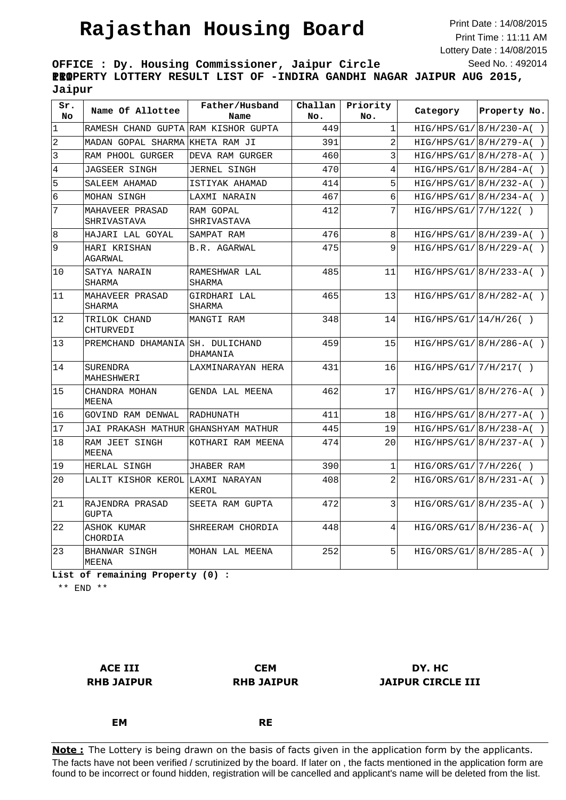## **Rajasthan Housing Board**

Print Date : 14/08/2015 Print Time : 11:11 AM Lottery Date : 14/08/2015 Seed No. : 492014

**OFFICE : Dy. Housing Commissioner, Jaipur Circle III PROPERTY LOTTERY RESULT LIST OF -INDIRA GANDHI NAGAR JAIPUR AUG 2015, Jaipur**

| sr.<br>No       | Name Of Allottee                 | Father/Husband<br>Name   | Challan<br>No. | Priority<br>No. | Category               | Property No.               |
|-----------------|----------------------------------|--------------------------|----------------|-----------------|------------------------|----------------------------|
| $\vert$ 1       | RAMESH CHAND GUPTA               | RAM KISHOR GUPTA         | 449            | $\mathbf{1}$    |                        | $HIG/HPS/G1/ 8/H/230-A( )$ |
| $\overline{2}$  | MADAN GOPAL SHARMA               | KHETA RAM JI             | 391            | $\overline{a}$  |                        | $HIG/HPS/G1/ 8/H/279-A( )$ |
| $\vert$ 3       | RAM PHOOL GURGER                 | DEVA RAM GURGER          | 460            | 3               |                        | $HIG/HPS/G1/ 8/H/278-A( )$ |
| $\overline{4}$  | <b>JAGSEER SINGH</b>             | <b>JERNEL SINGH</b>      | 470            | $\overline{4}$  |                        | $HIG/HPS/G1/ 8/H/284-A( )$ |
| 5               | SALEEM AHAMAD                    | ISTIYAK AHAMAD           | 414            | 5               |                        | $HIG/HPS/G1/ 8/H/232-A( )$ |
| $6\overline{6}$ | MOHAN SINGH                      | LAXMI NARAIN             | 467            | 6               |                        | $HIG/HPS/G1/ 8/H/234-A( )$ |
| 7               | MAHAVEER PRASAD<br>SHRIVASTAVA   | RAM GOPAL<br>SHRIVASTAVA | 412            | 7               | HIG/HPS/G1/7/H/122( )  |                            |
| $\overline{8}$  | HAJARI LAL GOYAL                 | SAMPAT RAM               | 476            | 8               |                        | $HIG/HPS/G1/ 8/H/239-A( )$ |
| 9               | HARI KRISHAN<br>AGARWAL          | B.R. AGARWAL             | 475            | 9               |                        | $HIG/HPS/G1/ 8/H/229-A( )$ |
| 10              | SATYA NARAIN<br>SHARMA           | RAMESHWAR LAL<br>SHARMA  | 485            | 11              |                        | $HIG/HPS/G1/[8/H/233-A( )$ |
| 11              | MAHAVEER PRASAD<br>SHARMA        | GIRDHARI LAL<br>SHARMA   | 465            | 13              |                        | $HIG/HPS/G1/ 8/H/282-A( )$ |
| 12              | TRILOK CHAND<br>CHTURVEDI        | MANGTI RAM               | 348            | 14              | HIG/HPS/G1/14/H/26( )  |                            |
| 13              | PREMCHAND DHAMANIA SH. DULICHAND | DHAMANIA                 | 459            | 15              |                        | $HIG/HPS/G1/[8/H/286-A( )$ |
| 14              | SURENDRA<br>MAHESHWERI           | LAXMINARAYAN HERA        | 431            | 16              | HIG/HPS/G1/[7/H/217( ) |                            |
| 15              | CHANDRA MOHAN<br>MEENA           | GENDA LAL MEENA          | 462            | 17              |                        | $HIG/HPS/G1/ 8/H/276-A( )$ |
| 16              | <b>GOVIND RAM DENWAL</b>         | <b>RADHUNATH</b>         | 411            | 18              |                        | $HIG/HPS/G1/ 8/H/277-A( )$ |
| 17              | <b>JAI PRAKASH MATHUR</b>        | GHANSHYAM MATHUR         | 445            | 19              |                        | $HIG/HPS/G1/ 8/H/238-A( )$ |
| 18              | RAM JEET SINGH<br>MEENA          | KOTHARI RAM MEENA        | 474            | 20              |                        | $HIG/HPS/G1/[8/H/237-A( )$ |
| 19              | HERLAL SINGH                     | JHABER RAM               | 390            | 1               | HIG/ORS/G1/7/H/226()   |                            |
| 20              | LALIT KISHOR KEROL LAXMI NARAYAN | KEROL                    | 408            | $\overline{2}$  |                        | $HIG/ORS/G1/ 8/H/231-A()$  |
| 21              | RAJENDRA PRASAD<br><b>GUPTA</b>  | SEETA RAM GUPTA          | 472            | 3               |                        | $HIG/ORS/G1/ 8/H/235-A()$  |
| 22              | <b>ASHOK KUMAR</b><br>CHORDIA    | SHREERAM CHORDIA         | 448            | 4               |                        | $HIG/ORS/G1/[8/H/236-A()$  |
| 23              | BHANWAR SINGH<br>MEENA           | MOHAN LAL MEENA          | 252            | 5 <sup>1</sup>  |                        | $HIG/ORS/G1/[8/H/285-A( )$ |

**List of remaining Property (0) :**

\*\* END \*\*

**ACE III RHB JAIPUR**

**CEM RHB JAIPUR**

## **DY. HC JAIPUR CIRCLE III**

**EM**

**RE**

The facts have not been verified / scrutinized by the board. If later on , the facts mentioned in the application form are found to be incorrect or found hidden, registration will be cancelled and applicant's name will be deleted from the list. **Note:** The Lottery is being drawn on the basis of facts given in the application form by the applicants.